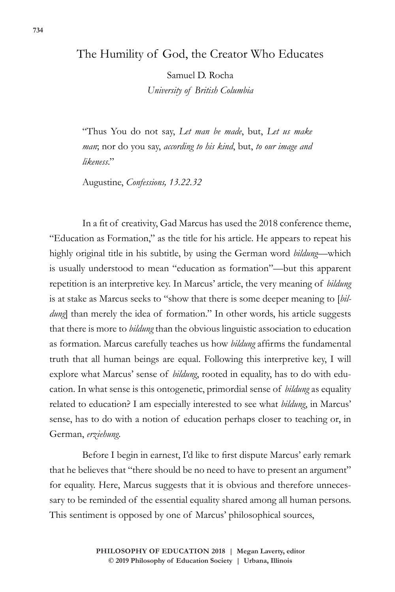## The Humility of God, the Creator Who Educates

Samuel D. Rocha *University of British Columbia*

"Thus You do not say, *Let man be made*, but, *Let us make man*; nor do you say, *according to his kind*, but, *to our image and likeness*."

Augustine, *Confessions, 13.22.32*

In a fit of creativity, Gad Marcus has used the 2018 conference theme, "Education as Formation," as the title for his article. He appears to repeat his highly original title in his subtitle, by using the German word *bildung*—which is usually understood to mean "education as formation"—but this apparent repetition is an interpretive key. In Marcus' article, the very meaning of *bildung* is at stake as Marcus seeks to "show that there is some deeper meaning to [*bildung*] than merely the idea of formation." In other words, his article suggests that there is more to *bildung* than the obvious linguistic association to education as formation. Marcus carefully teaches us how *bildung* affirms the fundamental truth that all human beings are equal. Following this interpretive key, I will explore what Marcus' sense of *bildung*, rooted in equality, has to do with education. In what sense is this ontogenetic, primordial sense of *bildung* as equality related to education? I am especially interested to see what *bildung*, in Marcus' sense, has to do with a notion of education perhaps closer to teaching or, in German, *erziehung*.

Before I begin in earnest, I'd like to first dispute Marcus' early remark that he believes that "there should be no need to have to present an argument" for equality. Here, Marcus suggests that it is obvious and therefore unnecessary to be reminded of the essential equality shared among all human persons. This sentiment is opposed by one of Marcus' philosophical sources,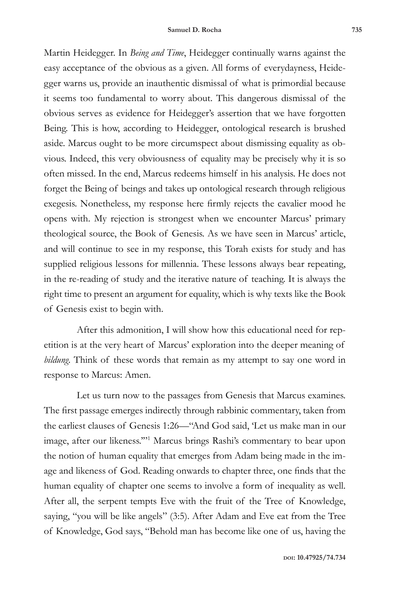Martin Heidegger. In *Being and Time*, Heidegger continually warns against the easy acceptance of the obvious as a given. All forms of everydayness, Heidegger warns us, provide an inauthentic dismissal of what is primordial because it seems too fundamental to worry about. This dangerous dismissal of the obvious serves as evidence for Heidegger's assertion that we have forgotten Being. This is how, according to Heidegger, ontological research is brushed aside. Marcus ought to be more circumspect about dismissing equality as obvious. Indeed, this very obviousness of equality may be precisely why it is so often missed. In the end, Marcus redeems himself in his analysis. He does not forget the Being of beings and takes up ontological research through religious exegesis. Nonetheless, my response here firmly rejects the cavalier mood he opens with. My rejection is strongest when we encounter Marcus' primary theological source, the Book of Genesis. As we have seen in Marcus' article, and will continue to see in my response, this Torah exists for study and has supplied religious lessons for millennia. These lessons always bear repeating, in the re-reading of study and the iterative nature of teaching. It is always the right time to present an argument for equality, which is why texts like the Book of Genesis exist to begin with.

After this admonition, I will show how this educational need for repetition is at the very heart of Marcus' exploration into the deeper meaning of *bildung*. Think of these words that remain as my attempt to say one word in response to Marcus: Amen.

Let us turn now to the passages from Genesis that Marcus examines. The first passage emerges indirectly through rabbinic commentary, taken from the earliest clauses of Genesis 1:26—"And God said, 'Let us make man in our image, after our likeness.'"1 Marcus brings Rashi's commentary to bear upon the notion of human equality that emerges from Adam being made in the image and likeness of God. Reading onwards to chapter three, one finds that the human equality of chapter one seems to involve a form of inequality as well. After all, the serpent tempts Eve with the fruit of the Tree of Knowledge, saying, "you will be like angels" (3:5). After Adam and Eve eat from the Tree of Knowledge, God says, "Behold man has become like one of us, having the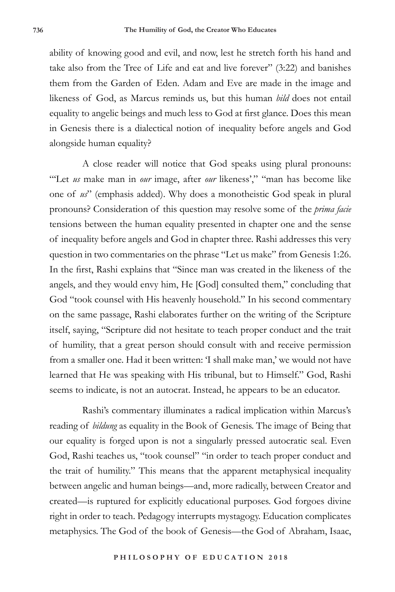ability of knowing good and evil, and now, lest he stretch forth his hand and take also from the Tree of Life and eat and live forever" (3:22) and banishes them from the Garden of Eden. Adam and Eve are made in the image and likeness of God, as Marcus reminds us, but this human *bild* does not entail equality to angelic beings and much less to God at first glance. Does this mean in Genesis there is a dialectical notion of inequality before angels and God alongside human equality?

A close reader will notice that God speaks using plural pronouns: "Let *us* make man in *our* image, after *our* likeness'," "man has become like one of *us*" (emphasis added). Why does a monotheistic God speak in plural pronouns? Consideration of this question may resolve some of the *prima facie* tensions between the human equality presented in chapter one and the sense of inequality before angels and God in chapter three. Rashi addresses this very question in two commentaries on the phrase "Let us make" from Genesis 1:26. In the first, Rashi explains that "Since man was created in the likeness of the angels, and they would envy him, He [God] consulted them," concluding that God "took counsel with His heavenly household." In his second commentary on the same passage, Rashi elaborates further on the writing of the Scripture itself, saying, "Scripture did not hesitate to teach proper conduct and the trait of humility, that a great person should consult with and receive permission from a smaller one. Had it been written: 'I shall make man,' we would not have learned that He was speaking with His tribunal, but to Himself." God, Rashi seems to indicate, is not an autocrat. Instead, he appears to be an educator.

Rashi's commentary illuminates a radical implication within Marcus's reading of *bildung* as equality in the Book of Genesis. The image of Being that our equality is forged upon is not a singularly pressed autocratic seal. Even God, Rashi teaches us, "took counsel" "in order to teach proper conduct and the trait of humility." This means that the apparent metaphysical inequality between angelic and human beings—and, more radically, between Creator and created—is ruptured for explicitly educational purposes. God forgoes divine right in order to teach. Pedagogy interrupts mystagogy. Education complicates metaphysics. The God of the book of Genesis—the God of Abraham, Isaac,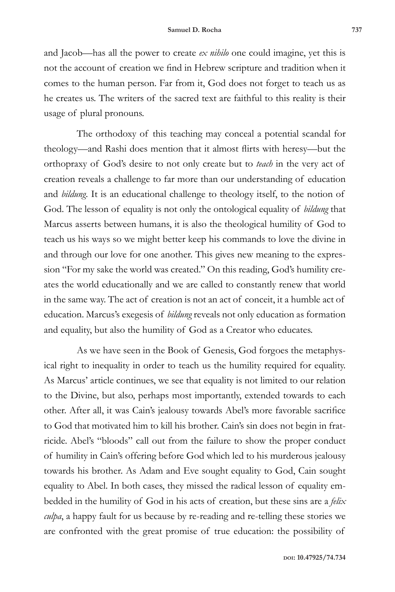and Jacob—has all the power to create *ex nihilo* one could imagine, yet this is not the account of creation we find in Hebrew scripture and tradition when it comes to the human person. Far from it, God does not forget to teach us as he creates us. The writers of the sacred text are faithful to this reality is their usage of plural pronouns.

The orthodoxy of this teaching may conceal a potential scandal for theology—and Rashi does mention that it almost flirts with heresy—but the orthopraxy of God's desire to not only create but to *teach* in the very act of creation reveals a challenge to far more than our understanding of education and *bildung*. It is an educational challenge to theology itself, to the notion of God. The lesson of equality is not only the ontological equality of *bildung* that Marcus asserts between humans, it is also the theological humility of God to teach us his ways so we might better keep his commands to love the divine in and through our love for one another. This gives new meaning to the expression "For my sake the world was created." On this reading, God's humility creates the world educationally and we are called to constantly renew that world in the same way. The act of creation is not an act of conceit, it a humble act of education. Marcus's exegesis of *bildung* reveals not only education as formation and equality, but also the humility of God as a Creator who educates.

As we have seen in the Book of Genesis, God forgoes the metaphysical right to inequality in order to teach us the humility required for equality. As Marcus' article continues, we see that equality is not limited to our relation to the Divine, but also, perhaps most importantly, extended towards to each other. After all, it was Cain's jealousy towards Abel's more favorable sacrifice to God that motivated him to kill his brother. Cain's sin does not begin in fratricide. Abel's "bloods" call out from the failure to show the proper conduct of humility in Cain's offering before God which led to his murderous jealousy towards his brother. As Adam and Eve sought equality to God, Cain sought equality to Abel. In both cases, they missed the radical lesson of equality embedded in the humility of God in his acts of creation, but these sins are a *felix culpa*, a happy fault for us because by re-reading and re-telling these stories we are confronted with the great promise of true education: the possibility of